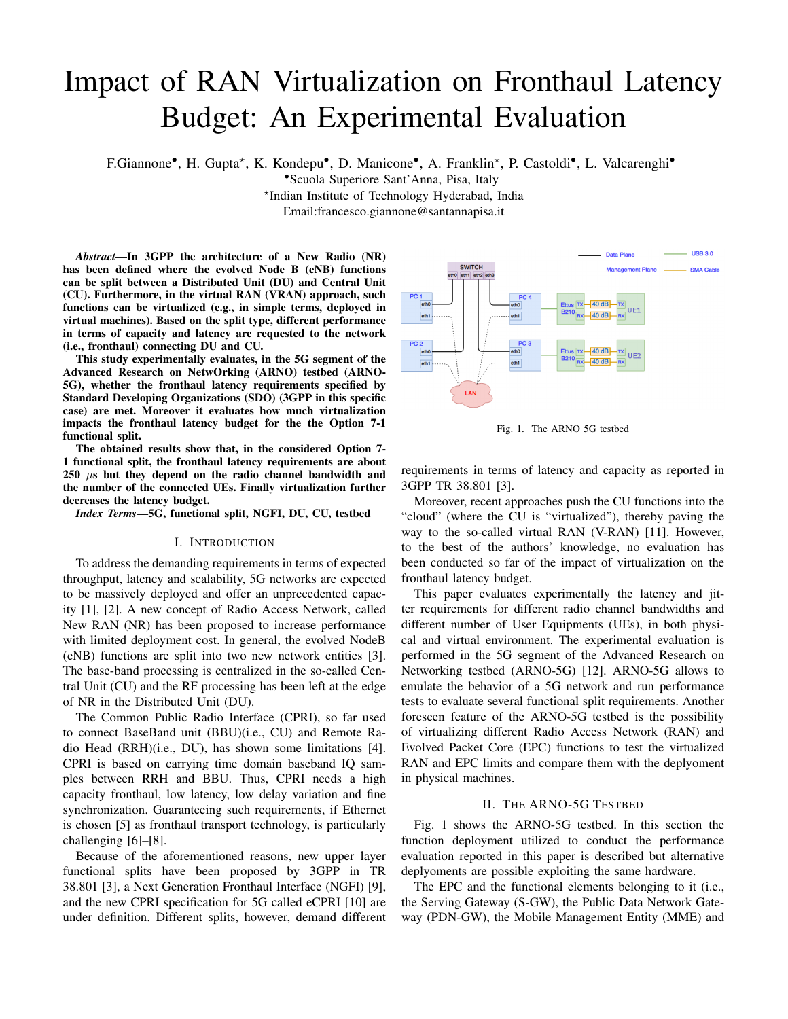# Impact of RAN Virtualization on Fronthaul Latency Budget: An Experimental Evaluation

F.Giannone<sup>•</sup>, H. Gupta<sup>\*</sup>, K. Kondepu<sup>•</sup>, D. Manicone<sup>•</sup>, A. Franklin<sup>\*</sup>, P. Castoldi<sup>•</sup>, L. Valcarenghi<sup>•</sup>

•Scuola Superiore Sant'Anna, Pisa, Italy

? Indian Institute of Technology Hyderabad, India

Email:francesco.giannone@santannapisa.it

*Abstract*—In 3GPP the architecture of a New Radio (NR) has been defined where the evolved Node B (eNB) functions can be split between a Distributed Unit (DU) and Central Unit (CU). Furthermore, in the virtual RAN (VRAN) approach, such functions can be virtualized (e.g., in simple terms, deployed in virtual machines). Based on the split type, different performance in terms of capacity and latency are requested to the network (i.e., fronthaul) connecting DU and CU.

This study experimentally evaluates, in the 5G segment of the Advanced Research on NetwOrking (ARNO) testbed (ARNO-5G), whether the fronthaul latency requirements specified by Standard Developing Organizations (SDO) (3GPP in this specific case) are met. Moreover it evaluates how much virtualization impacts the fronthaul latency budget for the the Option 7-1 functional split.

The obtained results show that, in the considered Option 7- 1 functional split, the fronthaul latency requirements are about  $250 \mu s$  but they depend on the radio channel bandwidth and the number of the connected UEs. Finally virtualization further decreases the latency budget.

*Index Terms*—5G, functional split, NGFI, DU, CU, testbed

#### I. INTRODUCTION

To address the demanding requirements in terms of expected throughput, latency and scalability, 5G networks are expected to be massively deployed and offer an unprecedented capacity [1], [2]. A new concept of Radio Access Network, called New RAN (NR) has been proposed to increase performance with limited deployment cost. In general, the evolved NodeB (eNB) functions are split into two new network entities [3]. The base-band processing is centralized in the so-called Central Unit (CU) and the RF processing has been left at the edge of NR in the Distributed Unit (DU).

The Common Public Radio Interface (CPRI), so far used to connect BaseBand unit (BBU)(i.e., CU) and Remote Radio Head (RRH)(i.e., DU), has shown some limitations [4]. CPRI is based on carrying time domain baseband IQ samples between RRH and BBU. Thus, CPRI needs a high capacity fronthaul, low latency, low delay variation and fine synchronization. Guaranteeing such requirements, if Ethernet is chosen [5] as fronthaul transport technology, is particularly challenging [6]–[8].

Because of the aforementioned reasons, new upper layer functional splits have been proposed by 3GPP in TR 38.801 [3], a Next Generation Fronthaul Interface (NGFI) [9], and the new CPRI specification for 5G called eCPRI [10] are under definition. Different splits, however, demand different



Fig. 1. The ARNO 5G testbed

requirements in terms of latency and capacity as reported in 3GPP TR 38.801 [3].

Moreover, recent approaches push the CU functions into the "cloud" (where the CU is "virtualized"), thereby paving the way to the so-called virtual RAN (V-RAN) [11]. However, to the best of the authors' knowledge, no evaluation has been conducted so far of the impact of virtualization on the fronthaul latency budget.

This paper evaluates experimentally the latency and jitter requirements for different radio channel bandwidths and different number of User Equipments (UEs), in both physical and virtual environment. The experimental evaluation is performed in the 5G segment of the Advanced Research on Networking testbed (ARNO-5G) [12]. ARNO-5G allows to emulate the behavior of a 5G network and run performance tests to evaluate several functional split requirements. Another foreseen feature of the ARNO-5G testbed is the possibility of virtualizing different Radio Access Network (RAN) and Evolved Packet Core (EPC) functions to test the virtualized RAN and EPC limits and compare them with the deplyoment in physical machines.

### II. THE ARNO-5G TESTBED

Fig. 1 shows the ARNO-5G testbed. In this section the function deployment utilized to conduct the performance evaluation reported in this paper is described but alternative deplyoments are possible exploiting the same hardware.

The EPC and the functional elements belonging to it (i.e., the Serving Gateway (S-GW), the Public Data Network Gateway (PDN-GW), the Mobile Management Entity (MME) and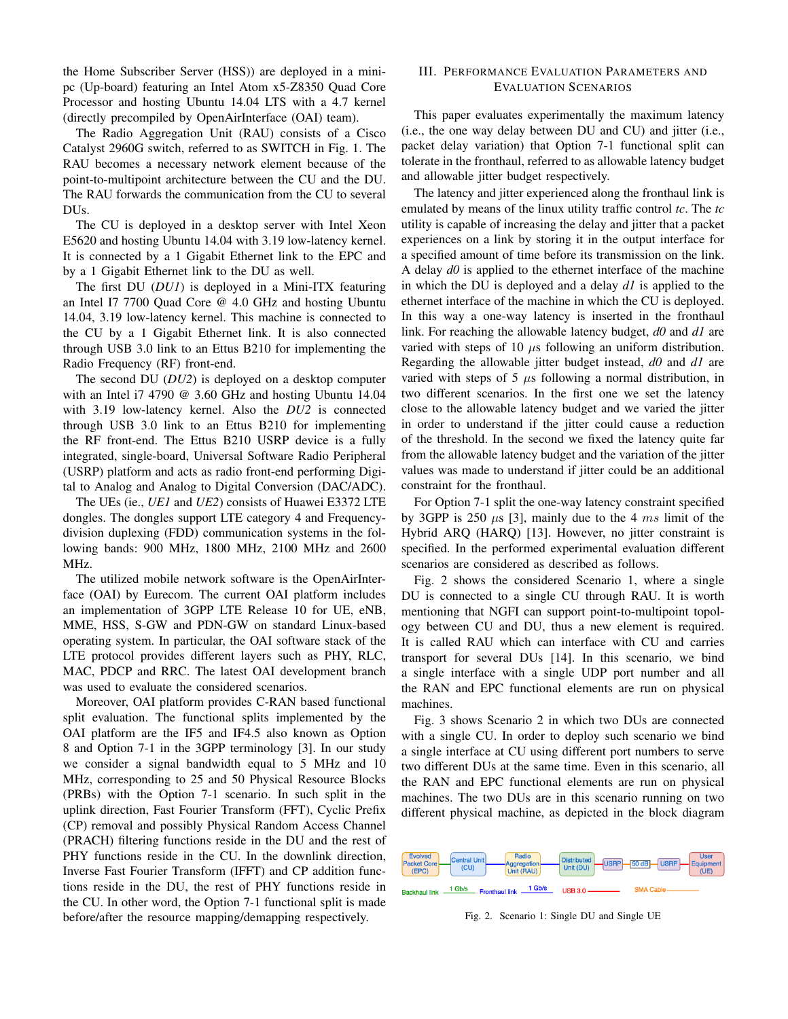the Home Subscriber Server (HSS)) are deployed in a minipc (Up-board) featuring an Intel Atom x5-Z8350 Quad Core Processor and hosting Ubuntu 14.04 LTS with a 4.7 kernel (directly precompiled by OpenAirInterface (OAI) team).

The Radio Aggregation Unit (RAU) consists of a Cisco Catalyst 2960G switch, referred to as SWITCH in Fig. 1. The RAU becomes a necessary network element because of the point-to-multipoint architecture between the CU and the DU. The RAU forwards the communication from the CU to several DUs.

The CU is deployed in a desktop server with Intel Xeon E5620 and hosting Ubuntu 14.04 with 3.19 low-latency kernel. It is connected by a 1 Gigabit Ethernet link to the EPC and by a 1 Gigabit Ethernet link to the DU as well.

The first DU (*DU1*) is deployed in a Mini-ITX featuring an Intel I7 7700 Quad Core @ 4.0 GHz and hosting Ubuntu 14.04, 3.19 low-latency kernel. This machine is connected to the CU by a 1 Gigabit Ethernet link. It is also connected through USB 3.0 link to an Ettus B210 for implementing the Radio Frequency (RF) front-end.

The second DU (*DU2*) is deployed on a desktop computer with an Intel i7 4790 @ 3.60 GHz and hosting Ubuntu 14.04 with 3.19 low-latency kernel. Also the *DU2* is connected through USB 3.0 link to an Ettus B210 for implementing the RF front-end. The Ettus B210 USRP device is a fully integrated, single-board, Universal Software Radio Peripheral (USRP) platform and acts as radio front-end performing Digital to Analog and Analog to Digital Conversion (DAC/ADC).

The UEs (ie., *UE1* and *UE2*) consists of Huawei E3372 LTE dongles. The dongles support LTE category 4 and Frequencydivision duplexing (FDD) communication systems in the following bands: 900 MHz, 1800 MHz, 2100 MHz and 2600 MHz.

The utilized mobile network software is the OpenAirInterface (OAI) by Eurecom. The current OAI platform includes an implementation of 3GPP LTE Release 10 for UE, eNB, MME, HSS, S-GW and PDN-GW on standard Linux-based operating system. In particular, the OAI software stack of the LTE protocol provides different layers such as PHY, RLC, MAC, PDCP and RRC. The latest OAI development branch was used to evaluate the considered scenarios.

Moreover, OAI platform provides C-RAN based functional split evaluation. The functional splits implemented by the OAI platform are the IF5 and IF4.5 also known as Option 8 and Option 7-1 in the 3GPP terminology [3]. In our study we consider a signal bandwidth equal to 5 MHz and 10 MHz, corresponding to 25 and 50 Physical Resource Blocks (PRBs) with the Option 7-1 scenario. In such split in the uplink direction, Fast Fourier Transform (FFT), Cyclic Prefix (CP) removal and possibly Physical Random Access Channel (PRACH) filtering functions reside in the DU and the rest of PHY functions reside in the CU. In the downlink direction, Inverse Fast Fourier Transform (IFFT) and CP addition functions reside in the DU, the rest of PHY functions reside in the CU. In other word, the Option 7-1 functional split is made before/after the resource mapping/demapping respectively.

## III. PERFORMANCE EVALUATION PARAMETERS AND EVALUATION SCENARIOS

This paper evaluates experimentally the maximum latency (i.e., the one way delay between DU and CU) and jitter (i.e., packet delay variation) that Option 7-1 functional split can tolerate in the fronthaul, referred to as allowable latency budget and allowable jitter budget respectively.

The latency and jitter experienced along the fronthaul link is emulated by means of the linux utility traffic control *tc*. The *tc* utility is capable of increasing the delay and jitter that a packet experiences on a link by storing it in the output interface for a specified amount of time before its transmission on the link. A delay *d0* is applied to the ethernet interface of the machine in which the DU is deployed and a delay *d1* is applied to the ethernet interface of the machine in which the CU is deployed. In this way a one-way latency is inserted in the fronthaul link. For reaching the allowable latency budget, *d0* and *d1* are varied with steps of 10  $\mu$ s following an uniform distribution. Regarding the allowable jitter budget instead, *d0* and *d1* are varied with steps of 5  $\mu$ s following a normal distribution, in two different scenarios. In the first one we set the latency close to the allowable latency budget and we varied the jitter in order to understand if the jitter could cause a reduction of the threshold. In the second we fixed the latency quite far from the allowable latency budget and the variation of the jitter values was made to understand if jitter could be an additional constraint for the fronthaul.

For Option 7-1 split the one-way latency constraint specified by 3GPP is 250  $\mu$ s [3], mainly due to the 4 ms limit of the Hybrid ARQ (HARQ) [13]. However, no jitter constraint is specified. In the performed experimental evaluation different scenarios are considered as described as follows.

Fig. 2 shows the considered Scenario 1, where a single DU is connected to a single CU through RAU. It is worth mentioning that NGFI can support point-to-multipoint topology between CU and DU, thus a new element is required. It is called RAU which can interface with CU and carries transport for several DUs [14]. In this scenario, we bind a single interface with a single UDP port number and all the RAN and EPC functional elements are run on physical machines.

Fig. 3 shows Scenario 2 in which two DUs are connected with a single CU. In order to deploy such scenario we bind a single interface at CU using different port numbers to serve two different DUs at the same time. Even in this scenario, all the RAN and EPC functional elements are run on physical machines. The two DUs are in this scenario running on two different physical machine, as depicted in the block diagram



Fig. 2. Scenario 1: Single DU and Single UE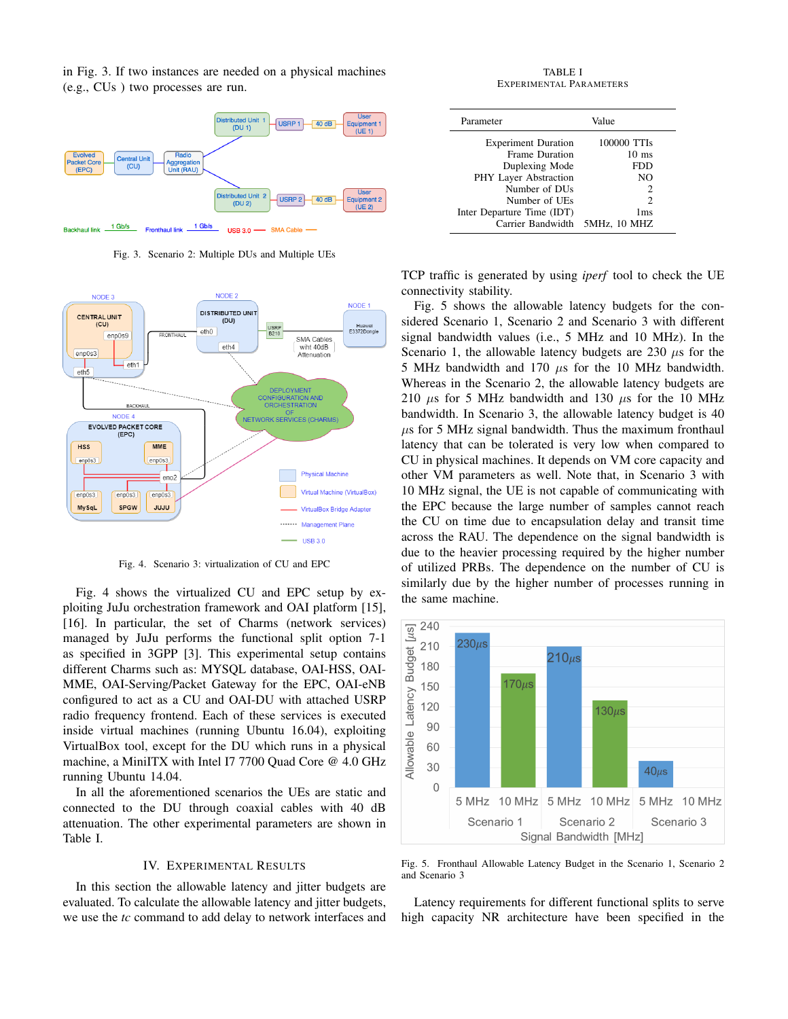in Fig. 3. If two instances are needed on a physical machines (e.g., CUs ) two processes are run.



Fig. 3. Scenario 2: Multiple DUs and Multiple UEs



Fig. 4. Scenario 3: virtualization of CU and EPC

Fig. 4 shows the virtualized CU and EPC setup by exploiting JuJu orchestration framework and OAI platform [15], [16]. In particular, the set of Charms (network services) managed by JuJu performs the functional split option 7-1 as specified in 3GPP [3]. This experimental setup contains different Charms such as: MYSQL database, OAI-HSS, OAI-MME, OAI-Serving/Packet Gateway for the EPC, OAI-eNB configured to act as a CU and OAI-DU with attached USRP radio frequency frontend. Each of these services is executed inside virtual machines (running Ubuntu 16.04), exploiting VirtualBox tool, except for the DU which runs in a physical machine, a MiniITX with Intel I7 7700 Quad Core @ 4.0 GHz running Ubuntu 14.04.

In all the aforementioned scenarios the UEs are static and connected to the DU through coaxial cables with 40 dB attenuation. The other experimental parameters are shown in Table I.

#### IV. EXPERIMENTAL RESULTS

In this section the allowable latency and jitter budgets are evaluated. To calculate the allowable latency and jitter budgets, we use the *tc* command to add delay to network interfaces and

TABLE I EXPERIMENTAL PARAMETERS

| Parameter                      | Value           |
|--------------------------------|-----------------|
| <b>Experiment Duration</b>     | 100000 TTIs     |
| <b>Frame Duration</b>          | $10 \text{ ms}$ |
| Duplexing Mode                 | FDD             |
| PHY Layer Abstraction          | NO.             |
| Number of DU <sub>s</sub>      | 2               |
| Number of UEs                  | 2               |
| Inter Departure Time (IDT)     | 1 <sub>ms</sub> |
| Carrier Bandwidth 5MHz, 10 MHZ |                 |

TCP traffic is generated by using *iperf* tool to check the UE connectivity stability.

Fig. 5 shows the allowable latency budgets for the considered Scenario 1, Scenario 2 and Scenario 3 with different signal bandwidth values (i.e., 5 MHz and 10 MHz). In the Scenario 1, the allowable latency budgets are 230  $\mu$ s for the 5 MHz bandwidth and 170  $\mu$ s for the 10 MHz bandwidth. Whereas in the Scenario 2, the allowable latency budgets are 210  $\mu$ s for 5 MHz bandwidth and 130  $\mu$ s for the 10 MHz bandwidth. In Scenario 3, the allowable latency budget is 40  $\mu$ s for 5 MHz signal bandwidth. Thus the maximum fronthaul latency that can be tolerated is very low when compared to CU in physical machines. It depends on VM core capacity and other VM parameters as well. Note that, in Scenario 3 with 10 MHz signal, the UE is not capable of communicating with the EPC because the large number of samples cannot reach the CU on time due to encapsulation delay and transit time across the RAU. The dependence on the signal bandwidth is due to the heavier processing required by the higher number of utilized PRBs. The dependence on the number of CU is similarly due by the higher number of processes running in the same machine.



Fig. 5. Fronthaul Allowable Latency Budget in the Scenario 1, Scenario 2 and Scenario 3

Latency requirements for different functional splits to serve high capacity NR architecture have been specified in the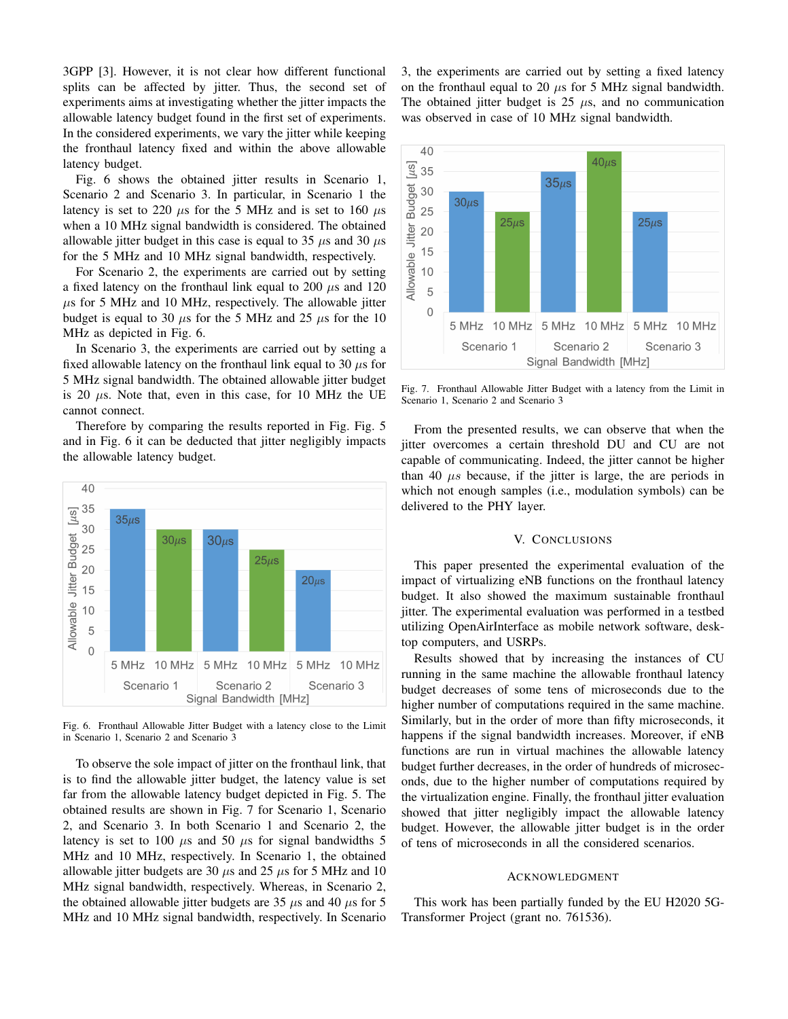3GPP [3]. However, it is not clear how different functional splits can be affected by jitter. Thus, the second set of experiments aims at investigating whether the jitter impacts the allowable latency budget found in the first set of experiments. In the considered experiments, we vary the jitter while keeping the fronthaul latency fixed and within the above allowable latency budget.

Fig. 6 shows the obtained jitter results in Scenario 1, Scenario 2 and Scenario 3. In particular, in Scenario 1 the latency is set to 220  $\mu$ s for the 5 MHz and is set to 160  $\mu$ s when a 10 MHz signal bandwidth is considered. The obtained allowable jitter budget in this case is equal to 35  $\mu$ s and 30  $\mu$ s for the 5 MHz and 10 MHz signal bandwidth, respectively.

For Scenario 2, the experiments are carried out by setting a fixed latency on the fronthaul link equal to 200  $\mu$ s and 120  $\mu$ s for 5 MHz and 10 MHz, respectively. The allowable jitter budget is equal to 30  $\mu$ s for the 5 MHz and 25  $\mu$ s for the 10 MHz as depicted in Fig. 6.

In Scenario 3, the experiments are carried out by setting a fixed allowable latency on the fronthaul link equal to 30  $\mu$ s for 5 MHz signal bandwidth. The obtained allowable jitter budget is 20  $\mu$ s. Note that, even in this case, for 10 MHz the UE cannot connect.

Therefore by comparing the results reported in Fig. Fig. 5 and in Fig. 6 it can be deducted that jitter negligibly impacts the allowable latency budget.



Fig. 6. Fronthaul Allowable Jitter Budget with a latency close to the Limit in Scenario 1, Scenario 2 and Scenario 3

To observe the sole impact of jitter on the fronthaul link, that is to find the allowable jitter budget, the latency value is set far from the allowable latency budget depicted in Fig. 5. The obtained results are shown in Fig. 7 for Scenario 1, Scenario 2, and Scenario 3. In both Scenario 1 and Scenario 2, the latency is set to 100  $\mu$ s and 50  $\mu$ s for signal bandwidths 5 MHz and 10 MHz, respectively. In Scenario 1, the obtained allowable jitter budgets are 30  $\mu$ s and 25  $\mu$ s for 5 MHz and 10 MHz signal bandwidth, respectively. Whereas, in Scenario 2, the obtained allowable jitter budgets are 35  $\mu$ s and 40  $\mu$ s for 5 MHz and 10 MHz signal bandwidth, respectively. In Scenario 3, the experiments are carried out by setting a fixed latency on the fronthaul equal to 20  $\mu$ s for 5 MHz signal bandwidth. The obtained jitter budget is  $25 \mu s$ , and no communication was observed in case of 10 MHz signal bandwidth.



Fig. 7. Fronthaul Allowable Jitter Budget with a latency from the Limit in Scenario 1, Scenario 2 and Scenario 3

From the presented results, we can observe that when the jitter overcomes a certain threshold DU and CU are not capable of communicating. Indeed, the jitter cannot be higher than 40  $\mu s$  because, if the jitter is large, the are periods in which not enough samples (i.e., modulation symbols) can be delivered to the PHY layer.

#### V. CONCLUSIONS

This paper presented the experimental evaluation of the impact of virtualizing eNB functions on the fronthaul latency budget. It also showed the maximum sustainable fronthaul jitter. The experimental evaluation was performed in a testbed utilizing OpenAirInterface as mobile network software, desktop computers, and USRPs.

Results showed that by increasing the instances of CU running in the same machine the allowable fronthaul latency budget decreases of some tens of microseconds due to the higher number of computations required in the same machine. Similarly, but in the order of more than fifty microseconds, it happens if the signal bandwidth increases. Moreover, if eNB functions are run in virtual machines the allowable latency budget further decreases, in the order of hundreds of microseconds, due to the higher number of computations required by the virtualization engine. Finally, the fronthaul jitter evaluation showed that jitter negligibly impact the allowable latency budget. However, the allowable jitter budget is in the order of tens of microseconds in all the considered scenarios.

#### ACKNOWLEDGMENT

This work has been partially funded by the EU H2020 5G-Transformer Project (grant no. 761536).